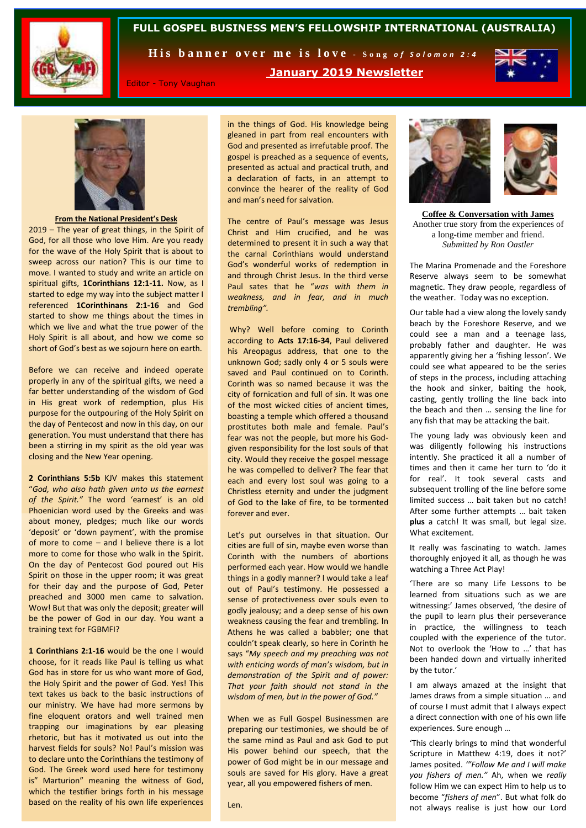

## **FULL GOSPEL BUSINESS MEN'S FELLOWSHIP INTERNATIONAL (AUSTRALIA)**

His banner over me is love - Song of Solomon 2:4

### **January 2019 Newsletter**



Editor - Tony Vaughan

in the things of God. His knowledge being gleaned in part from real encounters with God and presented as irrefutable proof. The gospel is preached as a sequence of events, presented as actual and practical truth, and a declaration of facts, in an attempt to convince the hearer of the reality of God and man's need for salvation.

The centre of Paul's message was Jesus Christ and Him crucified, and he was determined to present it in such a way that the carnal Corinthians would understand God's wonderful works of redemption in and through Christ Jesus. In the third verse Paul sates that he "*was with them in weakness, and in fear, and in much trembling".*

Why? Well before coming to Corinth according to **Acts 17:16-34**, Paul delivered his Areopagus address, that one to the unknown God; sadly only 4 or 5 souls were saved and Paul continued on to Corinth. Corinth was so named because it was the city of fornication and full of sin. It was one of the most wicked cities of ancient times, boasting a temple which offered a thousand prostitutes both male and female. Paul's fear was not the people, but more his Godgiven responsibility for the lost souls of that city. Would they receive the gospel message he was compelled to deliver? The fear that each and every lost soul was going to a Christless eternity and under the judgment of God to the lake of fire, to be tormented forever and ever.

Let's put ourselves in that situation. Our cities are full of sin, maybe even worse than Corinth with the numbers of abortions performed each year. How would we handle things in a godly manner? I would take a leaf out of Paul's testimony. He possessed a sense of protectiveness over souls even to godly jealousy; and a deep sense of his own weakness causing the fear and trembling. In Athens he was called a babbler; one that couldn't speak clearly, so here in Corinth he says "*My speech and my preaching was not with enticing words of man's wisdom, but in demonstration of the Spirit and of power: That your faith should not stand in the wisdom of men, but in the power of God."*

When we as Full Gospel Businessmen are preparing our testimonies, we should be of the same mind as Paul and ask God to put His power behind our speech, that the power of God might be in our message and souls are saved for His glory. Have a great year, all you empowered fishers of men.

Len.



**Coffee & Conversation with James** Another true story from the experiences of a long-time member and friend. *Submitted by Ron Oastler*

The Marina Promenade and the Foreshore Reserve always seem to be somewhat magnetic. They draw people, regardless of the weather. Today was no exception.

Our table had a view along the lovely sandy beach by the Foreshore Reserve, and we could see a man and a teenage lass, probably father and daughter. He was apparently giving her a 'fishing lesson'. We could see what appeared to be the series of steps in the process, including attaching the hook and sinker, baiting the hook, casting, gently trolling the line back into the beach and then … sensing the line for any fish that may be attacking the bait.

The young lady was obviously keen and was diligently following his instructions intently. She practiced it all a number of times and then it came her turn to 'do it for real'. It took several casts and subsequent trolling of the line before some limited success … bait taken but no catch! After some further attempts … bait taken **plus** a catch! It was small, but legal size. What excitement.

It really was fascinating to watch. James thoroughly enjoyed it all, as though he was watching a Three Act Play!

'There are so many Life Lessons to be learned from situations such as we are witnessing:' James observed, 'the desire of the pupil to learn plus their perseverance in practice, the willingness to teach coupled with the experience of the tutor. Not to overlook the 'How to …' that has been handed down and virtually inherited by the tutor.'

I am always amazed at the insight that James draws from a simple situation … and of course I must admit that I always expect a direct connection with one of his own life experiences. Sure enough …

'This clearly brings to mind that wonderful Scripture in Matthew 4:19, does it not?' James posited. *'"Follow Me and I will make you fishers of men."* Ah, when we *really* follow Him we can expect Him to help us to become "*fishers of men*". But what folk do not always realise is just how our Lord

**From the National President's Desk**

2019 – The year of great things, in the Spirit of God, for all those who love Him. Are you ready for the wave of the Holy Spirit that is about to sweep across our nation? This is our time to move. I wanted to study and write an article on spiritual gifts, **1Corinthians 12:1-11.** Now, as I started to edge my way into the subject matter I referenced **1Corinthinans 2:1-16** and God started to show me things about the times in which we live and what the true power of the Holy Spirit is all about, and how we come so short of God's best as we sojourn here on earth.

Before we can receive and indeed operate properly in any of the spiritual gifts, we need a far better understanding of the wisdom of God in His great work of redemption, plus His purpose for the outpouring of the Holy Spirit on the day of Pentecost and now in this day, on our generation. You must understand that there has been a stirring in my spirit as the old year was closing and the New Year opening.

**2 Corinthians 5:5b** KJV makes this statement "*God, who also hath given unto us the earnest of the Spirit."* The word 'earnest' is an old Phoenician word used by the Greeks and was about money, pledges; much like our words 'deposit' or 'down payment', with the promise of more to come – and I believe there is a lot more to come for those who walk in the Spirit. On the day of Pentecost God poured out His Spirit on those in the upper room; it was great for their day and the purpose of God, Peter preached and 3000 men came to salvation. Wow! But that was only the deposit; greater will be the power of God in our day. You want a training text for FGBMFI?

**1 Corinthians 2:1-16** would be the one I would choose, for it reads like Paul is telling us what God has in store for us who want more of God, the Holy Spirit and the power of God. Yes! This text takes us back to the basic instructions of our ministry. We have had more sermons by fine eloquent orators and well trained men trapping our imaginations by ear pleasing rhetoric, but has it motivated us out into the harvest fields for souls? No! Paul's mission was to declare unto the Corinthians the testimony of God. The Greek word used here for testimony is" Marturion" meaning the witness of God, which the testifier brings forth in his message based on the reality of his own life experiences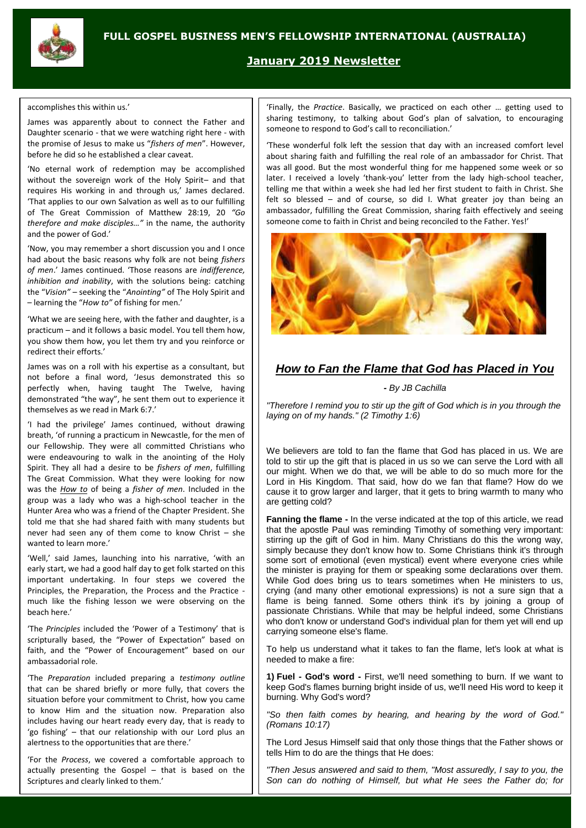

## **January 2019 Newsletter**

#### accomplishes this within us.'

James was apparently about to connect the Father and Daughter scenario - that we were watching right here - with the promise of Jesus to make us "*fishers of men*". However, before he did so he established a clear caveat.

'No eternal work of redemption may be accomplished without the sovereign work of the Holy Spirit- and that requires His working in and through us,' James declared. 'That applies to our own Salvation as well as to our fulfilling of The Great Commission of Matthew 28:19, 20 *"Go therefore and make disciples…"* in the name, the authority and the power of God.'

'Now, you may remember a short discussion you and I once had about the basic reasons why folk are not being *fishers of men*.' James continued. 'Those reasons are *indifference, inhibition and inability*, with the solutions being: catching the "*Vision"* – seeking the "*Anointing"* of The Holy Spirit and – learning the "*How to"* of fishing for men.'

'What we are seeing here, with the father and daughter, is a practicum – and it follows a basic model. You tell them how, you show them how, you let them try and you reinforce or redirect their efforts.'

James was on a roll with his expertise as a consultant, but not before a final word, 'Jesus demonstrated this so perfectly when, having taught The Twelve, having demonstrated "the way", he sent them out to experience it themselves as we read in Mark 6:7.'

'I had the privilege' James continued, without drawing breath, 'of running a practicum in Newcastle, for the men of our Fellowship. They were all committed Christians who were endeavouring to walk in the anointing of the Holy Spirit. They all had a desire to be *fishers of men*, fulfilling The Great Commission. What they were looking for now was the *How to* of being a *fisher of men*. Included in the group was a lady who was a high-school teacher in the Hunter Area who was a friend of the Chapter President. She told me that she had shared faith with many students but never had seen any of them come to know Christ – she wanted to learn more.'

'Well,' said James, launching into his narrative, 'with an early start, we had a good half day to get folk started on this important undertaking. In four steps we covered the Principles, the Preparation, the Process and the Practice much like the fishing lesson we were observing on the beach here.'

'The *Principles* included the 'Power of a Testimony' that is scripturally based, the "Power of Expectation" based on faith, and the "Power of Encouragement" based on our ambassadorial role.

'The *Preparation* included preparing a *testimony outline* that can be shared briefly or more fully, that covers the situation before your commitment to Christ, how you came to know Him and the situation now. Preparation also includes having our heart ready every day, that is ready to 'go fishing' – that our relationship with our Lord plus an alertness to the opportunities that are there.'

'For the *Process*, we covered a comfortable approach to actually presenting the Gospel – that is based on the Scriptures and clearly linked to them.'

'Finally, the *Practice*. Basically, we practiced on each other … getting used to sharing testimony, to talking about God's plan of salvation, to encouraging someone to respond to God's call to reconciliation.'

'These wonderful folk left the session that day with an increased comfort level about sharing faith and fulfilling the real role of an ambassador for Christ. That was all good. But the most wonderful thing for me happened some week or so later. I received a lovely 'thank-you' letter from the lady high-school teacher, telling me that within a week she had led her first student to faith in Christ. She felt so blessed – and of course, so did I. What greater joy than being an ambassador, fulfilling the Great Commission, sharing faith effectively and seeing someone come to faith in Christ and being reconciled to the Father. Yes!'



# *How to Fan the Flame that God has Placed in You*

*- By JB Cachilla*

*"Therefore I remind you to stir up the gift of God which is in you through the laying on of my hands." (2 Timothy 1:6)*

We believers are told to fan the flame that God has placed in us. We are told to stir up the gift that is placed in us so we can serve the Lord with all our might. When we do that, we will be able to do so much more for the Lord in His Kingdom. That said, how do we fan that flame? How do we cause it to grow larger and larger, that it gets to bring warmth to many who are getting cold?

**Fanning the flame -** In the verse indicated at the top of this article, we read that the apostle Paul was reminding Timothy of something very important: stirring up the gift of God in him. Many Christians do this the wrong way, simply because they don't know how to. Some Christians think it's through some sort of emotional (even mystical) event where everyone cries while the minister is praying for them or speaking some declarations over them. While God does bring us to tears sometimes when He ministers to us, crying (and many other emotional expressions) is not a sure sign that a flame is being fanned. Some others think it's by joining a group of passionate Christians. While that may be helpful indeed, some Christians who don't know or understand God's individual plan for them yet will end up carrying someone else's flame.

To help us understand what it takes to fan the flame, let's look at what is needed to make a fire:

**1) Fuel - God's word -** First, we'll need something to burn. If we want to keep God's flames burning bright inside of us, we'll need His word to keep it burning. Why God's word?

*"So then faith comes by hearing, and hearing by the word of God." (Romans 10:17)*

The Lord Jesus Himself said that only those things that the Father shows or tells Him to do are the things that He does:

*"Then Jesus answered and said to them, "Most assuredly, I say to you, the Son can do nothing of Himself, but what He sees the Father do; for*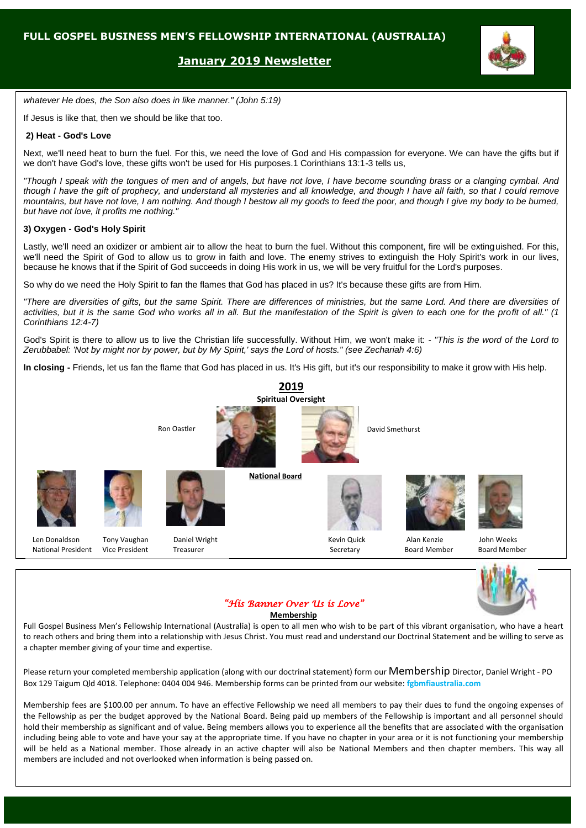## **January 2019 Newsletter**



*whatever He does, the Son also does in like manner." (John 5:19)*

If Jesus is like that, then we should be like that too.

#### **2) Heat - God's Love**

Next, we'll need heat to burn the fuel. For this, we need the love of God and His compassion for everyone. We can have the gifts but if we don't have God's love, these gifts won't be used for His purposes.1 Corinthians 13:1-3 tells us,

*"Though I speak with the tongues of men and of angels, but have not love, I have become sounding brass or a clanging cymbal. And though I have the gift of prophecy, and understand all mysteries and all knowledge, and though I have all faith, so that I could remove mountains, but have not love, I am nothing. And though I bestow all my goods to feed the poor, and though I give my body to be burned, but have not love, it profits me nothing."*

#### **3) Oxygen - God's Holy Spirit**

Lastly, we'll need an oxidizer or ambient air to allow the heat to burn the fuel. Without this component, fire will be extinguished. For this, we'll need the Spirit of God to allow us to grow in faith and love. The enemy strives to extinguish the Holy Spirit's work in our lives, because he knows that if the Spirit of God succeeds in doing His work in us, we will be very fruitful for the Lord's purposes.

So why do we need the Holy Spirit to fan the flames that God has placed in us? It's because these gifts are from Him.

*"There are diversities of gifts, but the same Spirit. There are differences of ministries, but the same Lord. And there are diversities of activities, but it is the same God who works all in all. But the manifestation of the Spirit is given to each one for the profit of all." (1 Corinthians 12:4-7)*

God's Spirit is there to allow us to live the Christian life successfully. Without Him, we won't make it: - *"This is the word of the Lord to Zerubbabel: 'Not by might nor by power, but by My Spirit,' says the Lord of hosts." (see Zechariah 4:6)*

**In closing -** Friends, let us fan the flame that God has placed in us. It's His gift, but it's our responsibility to make it grow with His help.







**Membership**

Full Gospel Business Men's Fellowship International (Australia) is open to all men who wish to be part of this vibrant organisation, who have a heart to reach others and bring them into a relationship with Jesus Christ. You must read and understand our Doctrinal Statement and be willing to serve as a chapter member giving of your time and expertise.

Please return your completed membership application (along with our doctrinal statement) form our Membership Director, Daniel Wright - PO Box 129 Taigum Qld 4018. Telephone: 0404 004 946. Membership forms can be printed from our website: **fgbmfiaustralia.com**

Membership fees are \$100.00 per annum. To have an effective Fellowship we need all members to pay their dues to fund the ongoing expenses of the Fellowship as per the budget approved by the National Board. Being paid up members of the Fellowship is important and all personnel should hold their membership as significant and of value. Being members allows you to experience all the benefits that are associated with the organisation including being able to vote and have your say at the appropriate time. If you have no chapter in your area or it is not functioning your membership will be held as a National member. Those already in an active chapter will also be National Members and then chapter members. This way all members are included and not overlooked when information is being passed on.